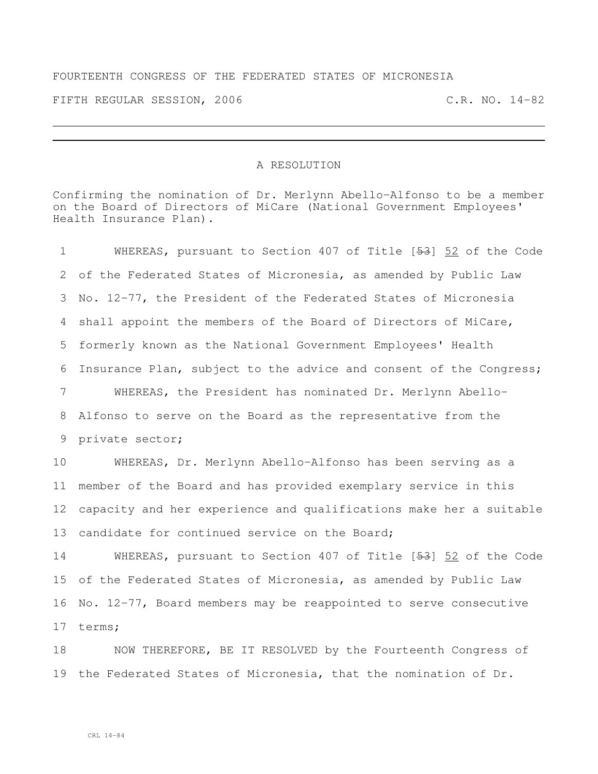## FOURTEENTH CONGRESS OF THE FEDERATED STATES OF MICRONESIA

FIFTH REGULAR SESSION, 2006 C.R. NO. 14-82

## A RESOLUTION

Confirming the nomination of Dr. Merlynn Abello-Alfonso to be a member on the Board of Directors of MiCare (National Government Employees' Health Insurance Plan).

 WHEREAS, pursuant to Section 407 of Title [53] 52 of the Code of the Federated States of Micronesia, as amended by Public Law No. 12-77, the President of the Federated States of Micronesia shall appoint the members of the Board of Directors of MiCare, formerly known as the National Government Employees' Health Insurance Plan, subject to the advice and consent of the Congress; WHEREAS, the President has nominated Dr. Merlynn Abello- Alfonso to serve on the Board as the representative from the private sector; WHEREAS, Dr. Merlynn Abello-Alfonso has been serving as a member of the Board and has provided exemplary service in this capacity and her experience and qualifications make her a suitable 13 candidate for continued service on the Board; 14 WHEREAS, pursuant to Section 407 of Title [53] 52 of the Code of the Federated States of Micronesia, as amended by Public Law No. 12-77, Board members may be reappointed to serve consecutive terms;

18 NOW THEREFORE, BE IT RESOLVED by the Fourteenth Congress of the Federated States of Micronesia, that the nomination of Dr.